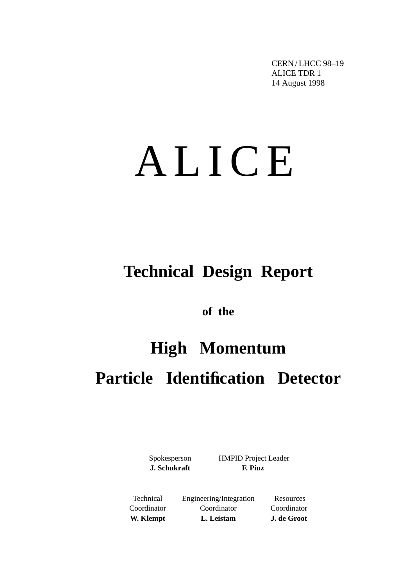CERN / LHCC 98–19 ALICE TDR 1 14 August 1998

# ALICE

## **Technical Design Report**

**of the**

## **High Momentum Particle Identification Detector**

Spokesperson HMPID Project Leader **J. Schukraft F. Piuz**

Technical Engineering/Integration Resources Coordinator Coordinator Coordinator **W. Klempt L. Leistam J. de Groot**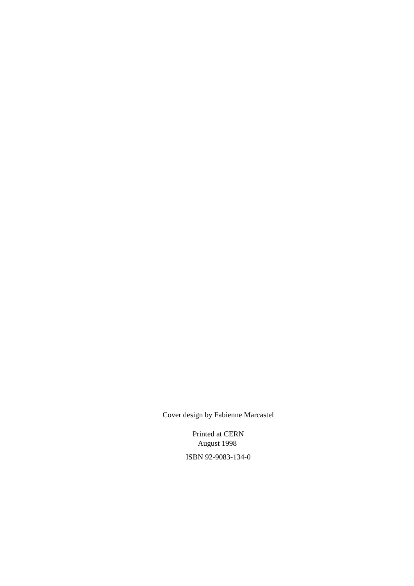Cover design by Fabienne Marcastel

Printed at CERN August 1998 ISBN 92-9083-134-0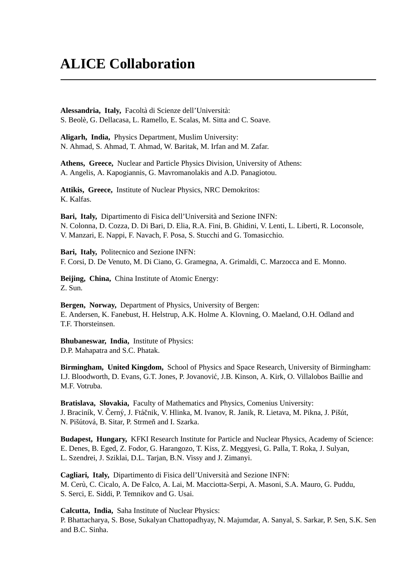### **ALICE Collaboration**

Alessandria, Italy, Facoltà di Scienze dell'Università: S. Beolè, G. Dellacasa, L. Ramello, E. Scalas, M. Sitta and C. Soave.

**Aligarh, India,** Physics Department, Muslim University: N. Ahmad, S. Ahmad, T. Ahmad, W. Baritak, M. Irfan and M. Zafar.

**Athens, Greece,** Nuclear and Particle Physics Division, University of Athens: A. Angelis, A. Kapogiannis, G. Mavromanolakis and A.D. Panagiotou.

**Attikis, Greece,** Institute of Nuclear Physics, NRC Demokritos: K. Kalfas.

Bari, Italy, Dipartimento di Fisica dell'Università and Sezione INFN: N. Colonna, D. Cozza, D. Di Bari, D. Elia, R.A. Fini, B. Ghidini, V. Lenti, L. Liberti, R. Loconsole, V. Manzari, E. Nappi, F. Navach, F. Posa, S. Stucchi and G. Tomasicchio.

**Bari, Italy,** Politecnico and Sezione INFN: F. Corsi, D. De Venuto, M. Di Ciano, G. Gramegna, A. Grimaldi, C. Marzocca and E. Monno.

**Beijing, China,** China Institute of Atomic Energy: Z. Sun.

**Bergen, Norway,** Department of Physics, University of Bergen: E. Andersen, K. Fanebust, H. Helstrup, A.K. Holme A. Klovning, O. Maeland, O.H. Odland and T.F. Thorsteinsen.

**Bhubaneswar, India,** Institute of Physics: D.P. Mahapatra and S.C. Phatak.

**Birmingham, United Kingdom,** School of Physics and Space Research, University of Birmingham: I.J. Bloodworth, D. Evans, G.T. Jones, P. Jovanovic, J.B. Kinson, A. Kirk, O. Villalobos Baillie and ´ M.F. Votruba.

**Bratislava, Slovakia,** Faculty of Mathematics and Physics, Comenius University: J. Braciník, V. Černý, J. Ftáčnik, V. Hlinka, M. Ivanov, R. Janik, R. Lietava, M. Pikna, J. Pišút, N. Pišútová, B. Sitar, P. Strmeň and I. Szarka.

**Budapest, Hungary,** KFKI Research Institute for Particle and Nuclear Physics, Academy of Science: E. Denes, B. Eged, Z. Fodor, G. Harangozo, T. Kiss, Z. Meggyesi, G. Palla, T. Roka, J. Sulyan, L. Szendrei, J. Sziklai, D.L. Tarjan, B.N. Vissy and J. Zimanyi.

**Cagliari, Italy,** Dipartimento di Fisica dell'Universita and Sezione INFN: ` M. Cerù, C. Cicalo, A. De Falco, A. Lai, M. Macciotta-Serpi, A. Masoni, S.A. Mauro, G. Puddu, S. Serci, E. Siddi, P. Temnikov and G. Usai.

**Calcutta, India,** Saha Institute of Nuclear Physics: P. Bhattacharya, S. Bose, Sukalyan Chattopadhyay, N. Majumdar, A. Sanyal, S. Sarkar, P. Sen, S.K. Sen and B.C. Sinha.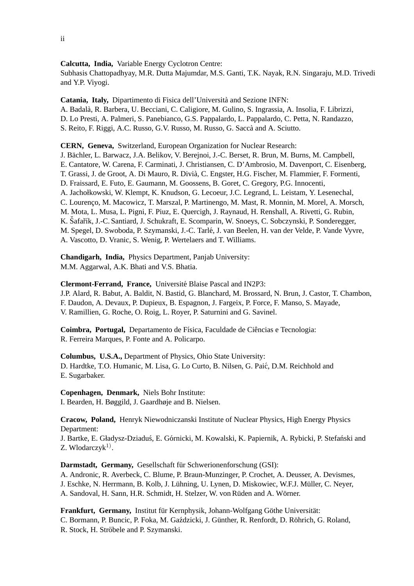#### **Calcutta, India,** Variable Energy Cyclotron Centre:

Subhasis Chattopadhyay, M.R. Dutta Majumdar, M.S. Ganti, T.K. Nayak, R.N. Singaraju, M.D. Trivedi and Y.P. Viyogi.

**Catania, Italy,** Dipartimento di Fisica dell'Universita and Sezione INFN: ` A. Badala, R. Barbera, U. Becciani, C. Caligiore, M. Gulino, S. Ingrassia, A. Insolia, F. Librizzi, ` D. Lo Presti, A. Palmeri, S. Panebianco, G.S. Pappalardo, L. Pappalardo, C. Petta, N. Randazzo, S. Reito, F. Riggi, A.C. Russo, G.V. Russo, M. Russo, G. Saccà and A. Sciutto.

**CERN, Geneva,** Switzerland, European Organization for Nuclear Research:

J. Bachler, L. Barwacz, J.A. Belikov, V. Berejnoi, J.-C. Berset, R. Brun, M. Burns, M. Campbell, ¨ E. Cantatore, W. Carena, F. Carminati, J. Christiansen, C. D'Ambrosio, M. Davenport, C. Eisenberg, T. Grassi, J. de Groot, A. Di Mauro, R. Divia, C. Engster, H.G. Fischer, M. Flammier, F. Formenti, ` D. Fraissard, E. Futo, E. Gaumann, M. Goossens, B. Goret, C. Gregory, P.G. Innocenti, A. Jachołkowski, W. Klempt, K. Knudson, G. Lecoeur, J.C. Legrand, L. Leistam, Y. Lesenechal, C. Lourenco, M. Macowicz, T. Marszal, P. Martinengo, M. Mast, R. Monnin, M. Morel, A. Morsch, M. Mota, L. Musa, L. Pigni, F. Piuz, E. Quercigh, J. Raynaud, H. Renshall, A. Rivetti, G. Rubin, K. Šafařík, J.-C. Santiard, J. Schukraft, E. Scomparin, W. Snoeys, C. Sobczynski, P. Sonderegger, M. Spegel, D. Swoboda, P. Szymanski, J.-C. Tarle, J. van Beelen, H. van der Velde, P. Vande Vyvre, ´ A. Vascotto, D. Vranic, S. Wenig, P. Wertelaers and T. Williams.

**Chandigarh, India,** Physics Department, Panjab University: M.M. Aggarwal, A.K. Bhati and V.S. Bhatia.

**Clermont-Ferrand, France,** Universite Blaise Pascal and IN2P3: ´

J.P. Alard, R. Babut, A. Baldit, N. Bastid, G. Blanchard, M. Brossard, N. Brun, J. Castor, T. Chambon, F. Daudon, A. Devaux, P. Dupieux, B. Espagnon, J. Fargeix, P. Force, F. Manso, S. Mayade, V. Ramillien, G. Roche, O. Roig, L. Royer, P. Saturnini and G. Savinel.

Coimbra, Portugal, Departamento de Física, Faculdade de Ciências e Tecnologia: R. Ferreira Marques, P. Fonte and A. Policarpo.

**Columbus, U.S.A.,** Department of Physics, Ohio State University: D. Hardtke, T.O. Humanic, M. Lisa, G. Lo Curto, B. Nilsen, G. Paic, D.M. Reichhold and ´ E. Sugarbaker.

**Copenhagen, Denmark,** Niels Bohr Institute: I. Bearden, H. Bøggild, J. Gaardhøje and B. Nielsen.

**Cracow, Poland,** Henryk Niewodniczanski Institute of Nuclear Physics, High Energy Physics Department:

J. Bartke, E. Gładysz-Dziaduś, E. Górnicki, M. Kowalski, K. Papiernik, A. Rybicki, P. Stefański and Z. Wlodarczy $k^{1}$ .

Darmstadt, Germany, Gesellschaft für Schwerionenforschung (GSI): A. Andronic, R. Averbeck, C. Blume, P. Braun-Munzinger, P. Crochet, A. Deusser, A. Devismes, J. Eschke, N. Herrmann, B. Kolb, J. Lühning, U. Lynen, D. Miskowiec, W.F.J. Müller, C. Never, A. Sandoval, H. Sann, H.R. Schmidt, H. Stelzer, W. von Rüden and A. Wörner.

**Frankfurt, Germany, Institut für Kernphysik, Johann-Wolfgang Göthe Universität:** C. Bormann, P. Buncic, P. Foka, M. Gaździcki, J. Günther, R. Renfordt, D. Röhrich, G. Roland, R. Stock, H. Ströbele and P. Szymanski.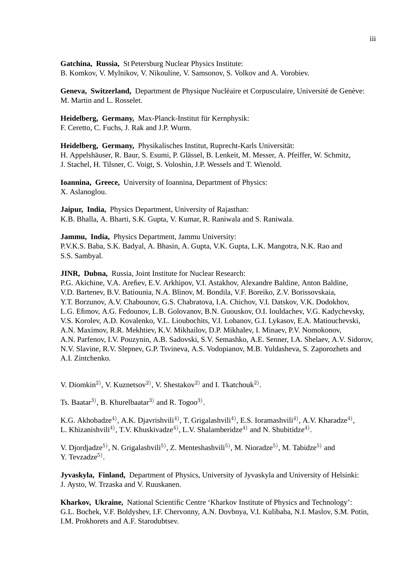**Gatchina, Russia,** St Petersburg Nuclear Physics Institute: B. Komkov, V. Mylnikov, V. Nikouline, V. Samsonov, S. Volkov and A. Vorobiev.

Geneva, Switzerland, Department de Physique Nucléaire et Corpusculaire, Université de Genève: M. Martin and L. Rosselet.

Heidelberg, Germany, Max-Planck-Institut für Kernphysik: F. Ceretto, C. Fuchs, J. Rak and J.P. Wurm.

**Heidelberg, Germany,** Physikalisches Institut, Ruprecht-Karls Universitat: ¨ H. Appelshäuser, R. Baur, S. Esumi, P. Glässel, B. Lenkeit, M. Messer, A. Pfeiffer, W. Schmitz, J. Stachel, H. Tilsner, C. Voigt, S. Voloshin, J.P. Wessels and T. Wienold.

**Ioannina, Greece,** University of Ioannina, Department of Physics: X. Aslanoglou.

**Jaipur, India,** Physics Department, University of Rajasthan: K.B. Bhalla, A. Bharti, S.K. Gupta, V. Kumar, R. Raniwala and S. Raniwala.

**Jammu, India,** Physics Department, Jammu University: P.V.K.S. Baba, S.K. Badyal, A. Bhasin, A. Gupta, V.K. Gupta, L.K. Mangotra, N.K. Rao and S.S. Sambyal.

**JINR, Dubna,** Russia, Joint Institute for Nuclear Research:

P.G. Akichine, V.A. Arefiev, E.V. Arkhipov, V.I. Astakhov, Alexandre Baldine, Anton Baldine, V.D. Bartenev, B.V. Batiounia, N.A. Blinov, M. Bondila, V.F. Boreiko, Z.V. Borissovskaia, Y.T. Borzunov, A.V. Chabounov, G.S. Chabratova, I.A. Chichov, V.I. Datskov, V.K. Dodokhov, L.G. Efimov, A.G. Fedounov, L.B. Golovanov, B.N. Guouskov, O.I. Iouldachev, V.G. Kadychevsky, V.S. Korolev, A.D. Kovalenko, V.L. Lioubochits, V.I. Lobanov, G.I. Lykasov, E.A. Matiouchevski, A.N. Maximov, R.R. Mekhtiev, K.V. Mikhailov, D.P. Mikhalev, I. Minaev, P.V. Nomokonov, A.N. Parfenov, I.V. Pouzynin, A.B. Sadovski, S.V. Semashko, A.E. Senner, I.A. Shelaev, A.V. Sidorov, N.V. Slavine, R.V. Slepnev, G.P. Tsvineva, A.S. Vodopianov, M.B. Yuldasheva, S. Zaporozhets and A.I. Zintchenko.

V. Diomkin<sup>2)</sup>, V. Kuznetsov<sup>2)</sup>, V. Shestakov<sup>2)</sup> and I. Tkatchouk<sup>2)</sup>.

Ts. Baatar<sup>3)</sup>, B. Khurelbaatar<sup>3)</sup> and R. Togoo<sup>3)</sup>.

K.G. Akhobadze<sup>4)</sup>, A.K. Diavrishvili<sup>4)</sup>, T. Grigalashvili<sup>4)</sup>, E.S. Ioramashvili<sup>4)</sup>, A.V. Kharadze<sup>4)</sup>, L. Khizanishvili<sup>4)</sup>, T.V. Khuskivadze<sup>4)</sup>, L.V. Shalamberidze<sup>4)</sup> and N. Shubitidze<sup>4)</sup>.

V. Djordjadze<sup>5)</sup>, N. Grigalashvili<sup>5)</sup>, Z. Menteshashvili<sup>5)</sup>, M. Nioradze<sup>5)</sup>, M. Tabidze<sup>5)</sup> and  $Y.$  Tevzadze<sup>5)</sup>.

**Jyvaskyla, Finland,** Department of Physics, University of Jyvaskyla and University of Helsinki: J. Aysto, W. Trzaska and V. Ruuskanen.

**Kharkov, Ukraine,** National Scientific Centre 'Kharkov Institute of Physics and Technology': G.L. Bochek, V.F. Boldyshev, I.F. Chervonny, A.N. Dovbnya, V.I. Kulibaba, N.I. Maslov, S.M. Potin, I.M. Prokhorets and A.F. Starodubtsev.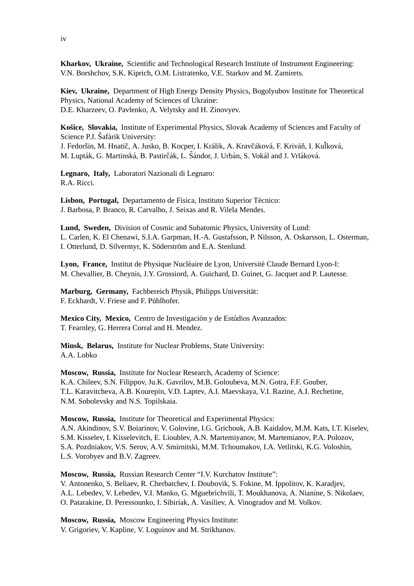**Kharkov, Ukraine,** Scientific and Technological Research Institute of Instrument Engineering: V.N. Borshchov, S.K. Kiprich, O.M. Listratenko, V.E. Starkov and M. Zamirets.

**Kiev, Ukraine,** Department of High Energy Density Physics, Bogolyubov Institute for Theoretical Physics, National Academy of Sciences of Ukraine: D.E. Kharzeev, O. Pavlenko, A. Velytsky and H. Zinovyev.

**Košice, Slovakia, Institute of Experimental Physics, Slovak Academy of Sciences and Faculty of** Science P.J. Šafárik University:

J. Fedoršin, M. Hnatič, A. Jusko, B. Kocper, I. Králik, A. Kravčáková, F. Kriváň, I. Kuľková, M. Lupták, G. Martinská, B. Pastirčák, L. Šándor, J. Urbán, S. Vokál and J. Vrláková.

**Legnaro, Italy,** Laboratori Nazionali di Legnaro: R.A. Ricci.

Lisbon, Portugal, Departamento de Física, Instituto Superior Técnico: J. Barbosa, P. Branco, R. Carvalho, J. Seixas and R. Vilela Mendes.

**Lund, Sweden,** Division of Cosmic and Subatomic Physics, University of Lund: L. Carlen, K. El Chenawi, S.I.A. Garpman, H.-A. Gustafsson, P. Nilsson, A. Oskarsson, L. Osterman, I. Otterlund, D. Silvermyr, K. Söderström and E.A. Stenlund.

Lyon, France, Institut de Physique Nucléaire de Lyon, Université Claude Bernard Lyon-I: M. Chevallier, B. Cheynis, J.Y. Grossiord, A. Guichard, D. Guinet, G. Jacquet and P. Lautesse.

Marburg, Germany, Fachbereich Physik, Philipps Universität: F. Eckhardt, V. Friese and F. Pühlhofer.

**Mexico City, Mexico, Centro de Investigación y de Estúdios Avanzados:** T. Fearnley, G. Herrera Corral and H. Mendez.

**Minsk, Belarus,** Institute for Nuclear Problems, State University: A.A. Lobko

**Moscow, Russia,** Institute for Nuclear Research, Academy of Science: K.A. Chileev, S.N. Filippov, Ju.K. Gavrilov, M.B. Goloubeva, M.N. Gotra, F.F. Gouber, T.L. Karavitcheva, A.B. Kourepin, V.D. Laptev, A.I. Maevskaya, V.I. Razine, A.I. Rechetine, N.M. Sobolevsky and N.S. Topilskaia.

**Moscow, Russia,** Institute for Theoretical and Experimental Physics: A.N. Akindinov, S.V. Boiarinov, V. Golovine, I.G. Grichouk, A.B. Kaidalov, M.M. Kats, I.T. Kiselev, S.M. Kisselev, I. Kisselevitch, E. Lioublev, A.N. Martemiyanov, M. Martemianov, P.A. Polozov, S.A. Pozdniakov, V.S. Serov, A.V. Smirnitski, M.M. Tchoumakov, I.A. Vetlitski, K.G. Voloshin, L.S. Vorobyev and B.V. Zagreev.

**Moscow, Russia,** Russian Research Center "I.V. Kurchatov Institute": V. Antonenko, S. Beliaev, R. Cherbatchev, I. Doubovik, S. Fokine, M. Ippolitov, K. Karadjev, A.L. Lebedev, V. Lebedev, V.I. Manko, G. Mguebrichvili, T. Moukhanova, A. Nianine, S. Nikolaev, O. Patarakine, D. Peressounko, I. Sibiriak, A. Vasiliev, A. Vinogradov and M. Volkov.

**Moscow, Russia,** Moscow Engineering Physics Institute: V. Grigoriev, V. Kapline, V. Loguinov and M. Strikhanov.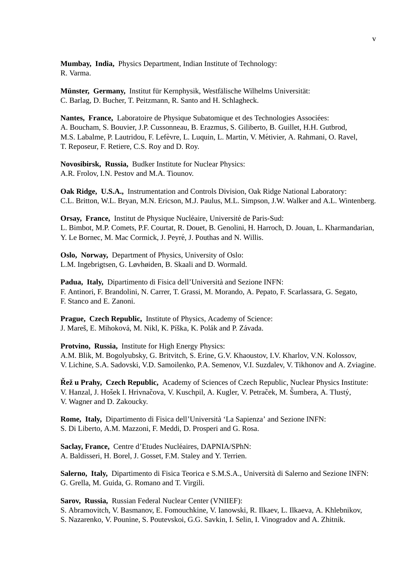**Mumbay, India,** Physics Department, Indian Institute of Technology: R. Varma.

**Münster, Germany, Institut für Kernphysik, Westfälische Wilhelms Universität:** C. Barlag, D. Bucher, T. Peitzmann, R. Santo and H. Schlagheck.

Nantes, France, Laboratoire de Physique Subatomique et des Technologies Associées: A. Boucham, S. Bouvier, J.P. Cussonneau, B. Erazmus, S. Giliberto, B. Guillet, H.H. Gutbrod, M.S. Labalme, P. Lautridou, F. Lefèvre, L. Luquin, L. Martin, V. Métivier, A. Rahmani, O. Ravel, T. Reposeur, F. Retiere, C.S. Roy and D. Roy.

**Novosibirsk, Russia,** Budker Institute for Nuclear Physics: A.R. Frolov, I.N. Pestov and M.A. Tiounov.

**Oak Ridge, U.S.A.,** Instrumentation and Controls Division, Oak Ridge National Laboratory: C.L. Britton, W.L. Bryan, M.N. Ericson, M.J. Paulus, M.L. Simpson, J.W. Walker and A.L. Wintenberg.

**Orsay, France, Institut de Physique Nucléaire, Université de Paris-Sud:** L. Bimbot, M.P. Comets, P.F. Courtat, R. Douet, B. Genolini, H. Harroch, D. Jouan, L. Kharmandarian, Y. Le Bornec, M. Mac Cormick, J. Peyré, J. Pouthas and N. Willis.

**Oslo, Norway,** Department of Physics, University of Oslo: L.M. Ingebrigtsen, G. Løvhøiden, B. Skaali and D. Wormald.

Padua, Italy, Dipartimento di Fisica dell'Università and Sezione INFN: F. Antinori, F. Brandolini, N. Carrer, T. Grassi, M. Morando, A. Pepato, F. Scarlassara, G. Segato, F. Stanco and E. Zanoni.

**Prague, Czech Republic,** Institute of Physics, Academy of Science: J. Mareš, E. Mihoková, M. Nikl, K. Píška, K. Polák and P. Závada.

**Protvino, Russia,** Institute for High Energy Physics: A.M. Blik, M. Bogolyubsky, G. Britvitch, S. Erine, G.V. Khaoustov, I.V. Kharlov, V.N. Kolossov, V. Lichine, S.A. Sadovski, V.D. Samoilenko, P.A. Semenov, V.I. Suzdalev, V. Tikhonov and A. Zviagine.

**Řež u Prahy, Czech Republic,** Academy of Sciences of Czech Republic, Nuclear Physics Institute: V. Hanzal, J. Hošek I. Hrivnačova, V. Kuschpil, A. Kugler, V. Petraček, M. Šumbera, A. Tlustý, V. Wagner and D. Zakoucky.

**Rome, Italy,** Dipartimento di Fisica dell'Universita` 'La Sapienza' and Sezione INFN: S. Di Liberto, A.M. Mazzoni, F. Meddi, D. Prosperi and G. Rosa.

Saclay, France, Centre d'Etudes Nucléaires, DAPNIA/SPhN: A. Baldisseri, H. Borel, J. Gosset, F.M. Staley and Y. Terrien.

**Salerno, Italy,** Dipartimento di Fisica Teorica e S.M.S.A., Universita di Salerno and Sezione INFN: ` G. Grella, M. Guida, G. Romano and T. Virgili.

**Sarov, Russia,** Russian Federal Nuclear Center (VNIIEF):

S. Abramovitch, V. Basmanov, E. Fomouchkine, V. Ianowski, R. Ilkaev, L. Ilkaeva, A. Khlebnikov,

S. Nazarenko, V. Pounine, S. Poutevskoi, G.G. Savkin, I. Selin, I. Vinogradov and A. Zhitnik.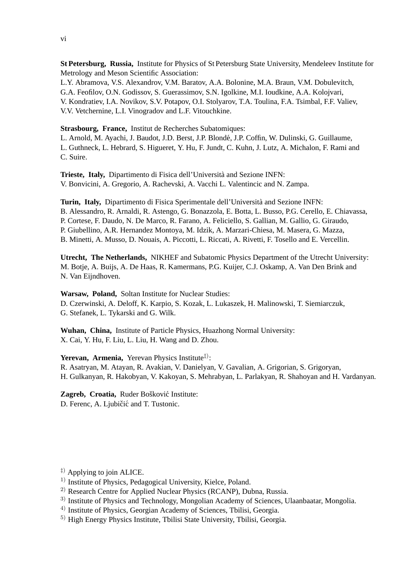vi

**St Petersburg, Russia,** Institute for Physics of St Petersburg State University, Mendeleev Institute for Metrology and Meson Scientific Association:

L.Y. Abramova, V.S. Alexandrov, V.M. Baratov, A.A. Bolonine, M.A. Braun, V.M. Dobulevitch, G.A. Feofilov, O.N. Godissov, S. Guerassimov, S.N. Igolkine, M.I. Ioudkine, A.A. Kolojvari, V. Kondratiev, I.A. Novikov, S.V. Potapov, O.I. Stolyarov, T.A. Toulina, F.A. Tsimbal, F.F. Valiev, V.V. Vetchernine, L.I. Vinogradov and L.F. Vitouchkine.

**Strasbourg, France,** Institut de Recherches Subatomiques:

L. Arnold, M. Ayachi, J. Baudot, J.D. Berst, J.P. Blondé, J.P. Coffin, W. Dulinski, G. Guillaume, L. Guthneck, L. Hebrard, S. Higueret, Y. Hu, F. Jundt, C. Kuhn, J. Lutz, A. Michalon, F. Rami and C. Suire.

**Trieste, Italy,** Dipartimento di Fisica dell'Universita and Sezione INFN: ` V. Bonvicini, A. Gregorio, A. Rachevski, A. Vacchi L. Valentincic and N. Zampa.

**Turin, Italy,** Dipartimento di Fisica Sperimentale dell'Universita and Sezione INFN: ` B. Alessandro, R. Arnaldi, R. Astengo, G. Bonazzola, E. Botta, L. Busso, P.G. Cerello, E. Chiavassa, P. Cortese, F. Daudo, N. De Marco, R. Farano, A. Feliciello, S. Gallian, M. Gallio, G. Giraudo, P. Giubellino, A.R. Hernandez Montoya, M. Idzik, A. Marzari-Chiesa, M. Masera, G. Mazza, B. Minetti, A. Musso, D. Nouais, A. Piccotti, L. Riccati, A. Rivetti, F. Tosello and E. Vercellin.

**Utrecht, The Netherlands,** NIKHEF and Subatomic Physics Department of the Utrecht University: M. Botje, A. Buijs, A. De Haas, R. Kamermans, P.G. Kuijer, C.J. Oskamp, A. Van Den Brink and N. Van Eijndhoven.

**Warsaw, Poland,** Soltan Institute for Nuclear Studies: D. Czerwinski, A. Deloff, K. Karpio, S. Kozak, L. Lukaszek, H. Malinowski, T. Siemiarczuk, G. Stefanek, L. Tykarski and G. Wilk.

**Wuhan, China,** Institute of Particle Physics, Huazhong Normal University: X. Cai, Y. Hu, F. Liu, L. Liu, H. Wang and D. Zhou.

Yerevan, Armenia, Yerevan Physics Institute<sup>‡)</sup>:

R. Asatryan, M. Atayan, R. Avakian, V. Danielyan, V. Gavalian, A. Grigorian, S. Grigoryan, H. Gulkanyan, R. Hakobyan, V. Kakoyan, S. Mehrabyan, L. Parlakyan, R. Shahoyan and H. Vardanyan.

Zagreb, Croatia, Ruder Bošković Institute: D. Ferenc, A. Ljubičić and T. Tustonic.

- $\ddagger$ ) Applying to join ALICE.
- <sup>1)</sup> Institute of Physics, Pedagogical University, Kielce, Poland.
- 2) Research Centre for Applied Nuclear Physics (RCANP), Dubna, Russia.
- <sup>3)</sup> Institute of Physics and Technology, Mongolian Academy of Sciences, Ulaanbaatar, Mongolia.
- 4) Institute of Physics, Georgian Academy of Sciences, Tbilisi, Georgia.
- 5) High Energy Physics Institute, Tbilisi State University, Tbilisi, Georgia.